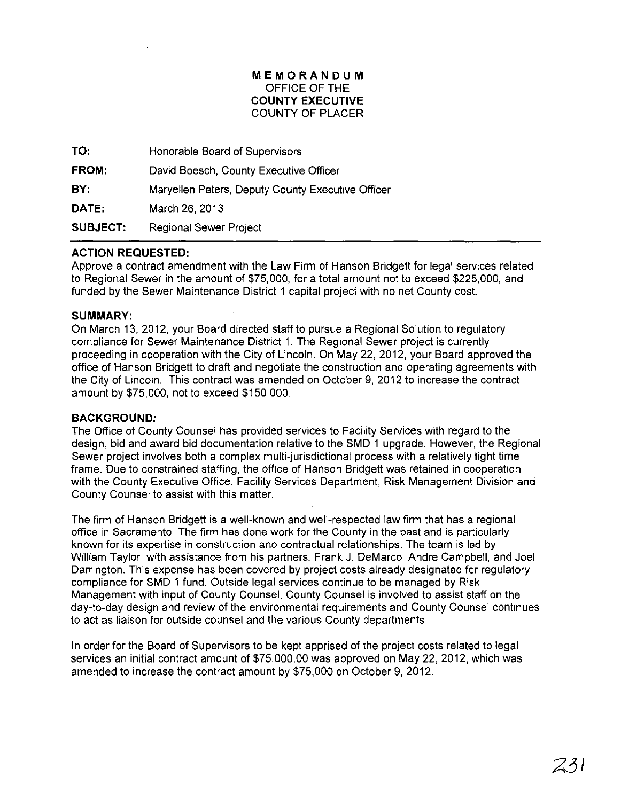## MEMORANDUM OFFICE OF THE COUNTY EXECUTIVE COUNTY OF PLACER

| TO:             | Honorable Board of Supervisors                    |
|-----------------|---------------------------------------------------|
| FROM:           | David Boesch, County Executive Officer            |
| BY:             | Maryellen Peters, Deputy County Executive Officer |
| DATE:           | March 26, 2013                                    |
| <b>SUBJECT:</b> | Regional Sewer Project                            |

# ACTION REQUESTED:

Approve a contract amendment with the Law Firm of Hanson Bridgett for legal services related to Regional Sewer in the amount of \$75,000, for a total amount not to exceed \$225,000, and funded by the Sewer Maintenance District 1 capital project with no net County cost.

### SUMMARY:

On March 13, 2012, your Board directed staff to pursue a Regional Solution to regulatory compliance for Sewer Maintenance District 1. The Regional Sewer project is currently proceeding in cooperation with the City of Lincoln. On May 22, 2012, your Board approved the office of Hanson Bridgett to draft and negotiate the construction and operating agreements with the City of Lincoln. This contract was amended on October 9, 2012 to increase the contract amount by \$75,000, not to exceed \$150,000.

### BACKGROUND:

The Office of County Counsel has provided services to Facility Services with regard to the design, bid and award bid documentation relative to the SMD 1 upgrade. However, the Regional Sewer project involves both a complex multi-jurisdictional process with a relatively tight time frame. Due to constrained staffing, the office of Hanson Bridgett was retained in cooperation with the County Executive Office, Facility Services Department, Risk Management Division and County Counsel to assist with this matter.

The firm of Hanson Bridgett is a well-known and well-respected law firm that has a regional office in Sacramento. The firm has done work for the County in the past and is particularly known for its expertise in construction and contractual relationships. The team is led by William Taylor, with assistance from his partners, Frank J. DeMarco, Andre Campbell, and Joel Darrington. This expense has been covered by project costs already designated for regulatory compliance for SMD 1 fund. Outside legal services continue to be managed by Risk Management with input of County Counsel. County Counsel is involved to assist staff on the day-to-day design and review of the environmental requirements and County Counsel continues to act as liaison for outside counsel and the various County departments.

In order for the Board of Supervisors to be kept apprised of the project costs related to legal services an initial contract amount of \$75,000.00 was approved on May 22,2012, which was amended to increase the contract amount by \$75,000 on October 9, 2012.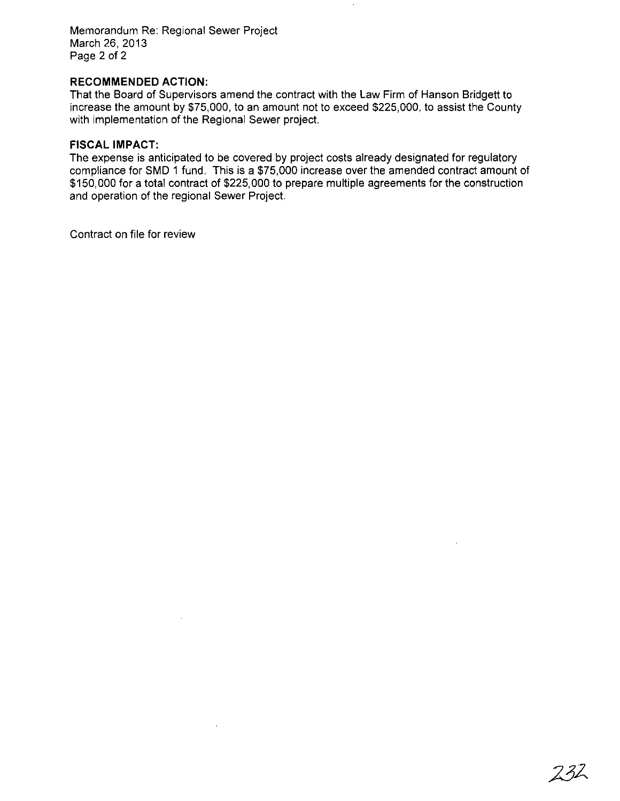Memorandum Re: Regional Sewer Project March 26, 2013 Page 2 of 2

## **RECOMMENDED ACTION:**

That the Board of Supervisors amend the contract with the Law Firm of Hanson Bridgett to increase the amount by \$75,000, to an amount not to exceed \$225,000, to assist the County with implementation of the Regional Sewer project.

## **FISCAL IMPACT:**

The expense is anticipated to be covered by project costs already designated for regulatory compliance for SMD 1 fund. This is a \$75,000 increase over the amended contract amount of \$150,000 for a total contract of \$225,000 to prepare multiple agreements for the construction and operation of the regional Sewer Project.

Contract on file for review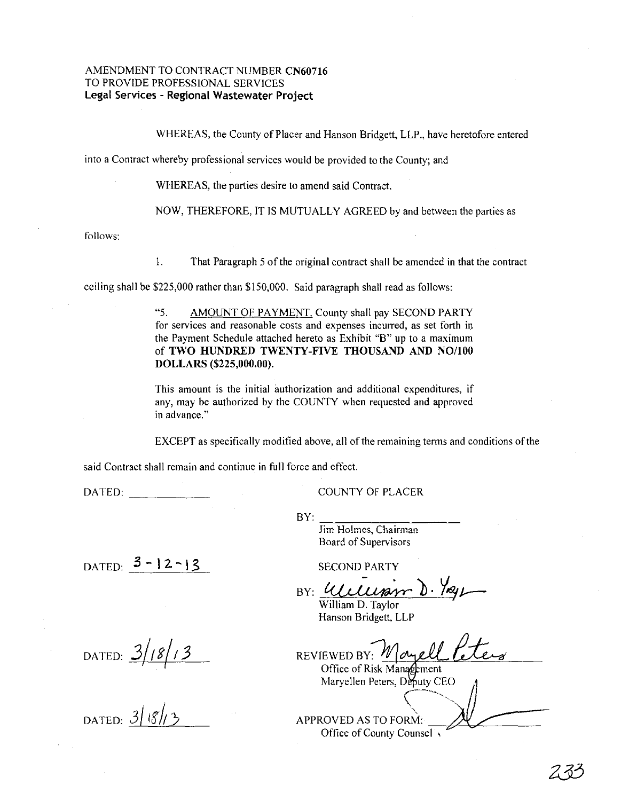#### AMENDMENT TO CONTRACT NUMBER **CN60716** TO PROVIDE PROFESSIONAL SERVICES **Legal Services - Regional Wastewater Project**

WHEREAS, the County of Placer and Hanson Bridgett, LLP., have heretofore entered

into a Contract whereby professional services would be provided to the County; and

WHEREAS, the parties desire to amend said Contract.

NOW, THEREFORE, IT IS MUTUALLY AGREED by and between the parties as

follows:

1. That Paragraph 5 of the original contract shall be amended in that the contract

ceiling shall be \$225,000 rather than \$150,000. Said paragraph shall read as follows:

"5. AMOUNT OF PAYMENT. County shall pay SECOND PARTY for services and reasonable costs and expenses incurred, as set forth in the Payment Schedule attached hereto as Exhibit "B" up to a maximum of **TWO HUNDRED TWENTY-FIVE THOUSAND AND NO/IOO DOLLARS (\$225,000.00).**

This amount is the initial authorization and additional expenditures, if any, may be authorized by the COUNTY when requested and approved **in advance,"**

EXCEPT as specifically modified above, all of the remaining terms and conditions of the

said Contract shall remain and continue in full force and effect.

DATED:

COUNTY OF PLACER

**Jim Holmes, Chairman** Board of Supervisors

 $BY:$   $\frac{1}{11}$ 

DATED:  $3 - 12 - 13$ 

BY: Wellison D. 7xg

SECOND PARTY

William D. Taylor Hanson Bridgett, LLP

REVIEWED BY: Moyell Office of Risk Management

Maryellen Peters, Deputy CEO

APPROVED AS TO FORM: Office of County Counsel

DATED:  $\frac{3/18/13}{2}$